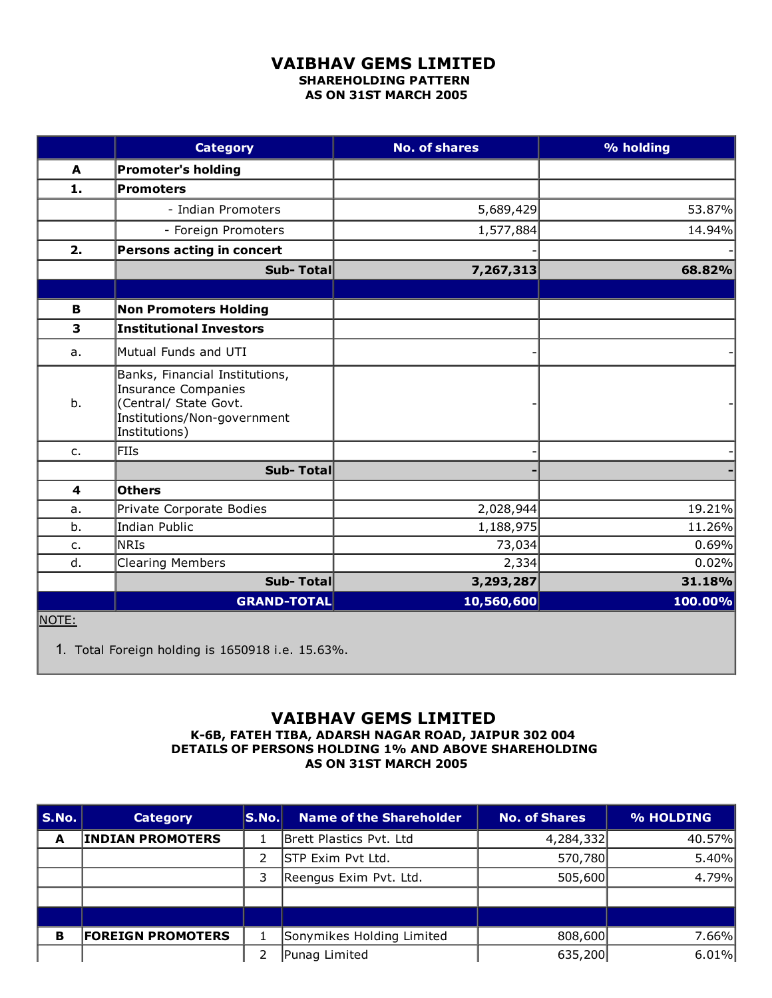## VAIBHAV GEMS LIMITED SHAREHOLDING PATTERN AS ON 31ST MARCH 2005

|              | <b>Category</b>                                                                                                                | <b>No. of shares</b> | % holding |
|--------------|--------------------------------------------------------------------------------------------------------------------------------|----------------------|-----------|
| $\mathbf{A}$ | <b>Promoter's holding</b>                                                                                                      |                      |           |
| 1.           | Promoters                                                                                                                      |                      |           |
|              | - Indian Promoters                                                                                                             | 5,689,429            | 53.87%    |
|              | - Foreign Promoters                                                                                                            | 1,577,884            | 14.94%    |
| 2.           | Persons acting in concert                                                                                                      |                      |           |
|              | <b>Sub-Total</b>                                                                                                               | 7,267,313            | 68.82%    |
|              |                                                                                                                                |                      |           |
| В            | <b>Non Promoters Holding</b>                                                                                                   |                      |           |
| 3            | <b>Institutional Investors</b>                                                                                                 |                      |           |
| a.           | Mutual Funds and UTI                                                                                                           |                      |           |
| b.           | Banks, Financial Institutions,<br>Insurance Companies<br>(Central/ State Govt.<br>Institutions/Non-government<br>Institutions) |                      |           |
| $C_{1}$      | FIIs                                                                                                                           |                      |           |
|              | Sub-Total                                                                                                                      |                      |           |
| 4            | <b>Others</b>                                                                                                                  |                      |           |
| a.           | Private Corporate Bodies                                                                                                       | 2,028,944            | 19.21%    |
| b.           | Indian Public                                                                                                                  | 1,188,975            | 11.26%    |
| $C_{1}$      | <b>NRIS</b>                                                                                                                    | 73,034               | 0.69%     |
| d.           | <b>Clearing Members</b>                                                                                                        | 2,334                | 0.02%     |
|              | Sub-Total                                                                                                                      | 3,293,287            | 31.18%    |
|              | <b>GRAND-TOTAL</b>                                                                                                             | 10,560,600           | 100.00%   |
| NOTE:        |                                                                                                                                |                      |           |

1. Total Foreign holding is 1650918 i.e. 15.63%.

## VAIBHAV GEMS LIMITED

K6B, FATEH TIBA, ADARSH NAGAR ROAD, JAIPUR 302 004 DETAILS OF PERSONS HOLDING 1% AND ABOVE SHAREHOLDING AS ON 31ST MARCH 2005

| S.No. | <b>Category</b>          | S.No. | <b>Name of the Shareholder</b> | <b>No. of Shares</b> | % HOLDING |
|-------|--------------------------|-------|--------------------------------|----------------------|-----------|
| A     | <b>INDIAN PROMOTERS</b>  |       | Brett Plastics Pvt. Ltd        | 4,284,332            | 40.57%    |
|       |                          | 2     | <b>STP Exim Pvt Ltd.</b>       | 570,780              | 5.40%     |
|       |                          | 3     | Reengus Exim Pvt. Ltd.         | 505,600              | 4.79%     |
|       |                          |       |                                |                      |           |
|       |                          |       |                                |                      |           |
| в     | <b>FOREIGN PROMOTERS</b> |       | Sonymikes Holding Limited      | 808,600              | 7.66%     |
|       |                          | 2     | Punag Limited                  | 635,200              | $6.01\%$  |